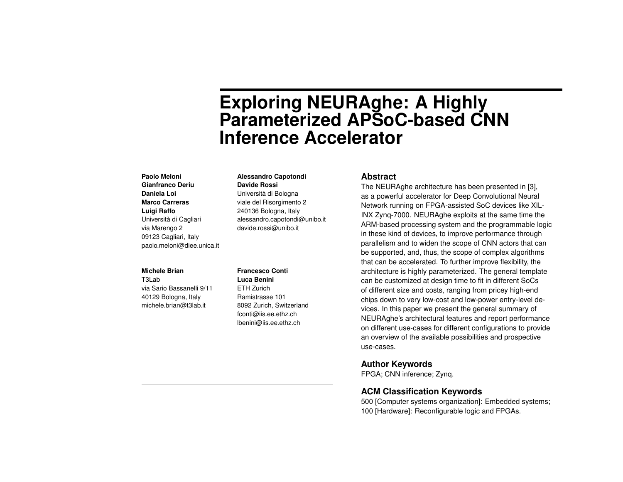# **Exploring NEURAghe: A Highly Parameterized APSoC-based CNN Inference Accelerator**

# **Paolo Meloni Gianfranco Deriu Daniela Loi Marco Carreras Luigi Raffo** Università di Cagliari via Marengo 2 09123 Cagliari, Italy paolo.meloni@diee.unica.it

#### **Michele Brian**

T3Lab via Sario Bassanelli 9/11 40129 Bologna, Italy michele.brian@t3lab.it

#### **Alessandro Capotondi Davide Rossi**

Università di Bologna viale del Risorgimento 2 240136 Bologna, Italy alessandro.capotondi@unibo.it davide.rossi@unibo.it

#### **Francesco Conti**

**Luca Benini** ETH Zurich Ramistrasse 101 8092 Zurich, Switzerland fconti@iis.ee.ethz.ch lbenini@iis.ee.ethz.ch

#### **Abstract**

The NEURAghe architecture has been presented in [\[3\]](#page-4-0), as a powerful accelerator for Deep Convolutional Neural Network running on FPGA-assisted SoC devices like XIL-INX Zynq-7000. NEURAghe exploits at the same time the ARM-based processing system and the programmable logic in these kind of devices, to improve performance through parallelism and to widen the scope of CNN actors that can be supported, and, thus, the scope of complex algorithms that can be accelerated. To further improve flexibility, the architecture is highly parameterized. The general template can be customized at design time to fit in different SoCs of different size and costs, ranging from pricey high-end chips down to very low-cost and low-power entry-level devices. In this paper we present the general summary of NEURAghe's architectural features and report performance on different use-cases for different configurations to provide an overview of the available possibilities and prospective use-cases.

# **Author Keywords**

FPGA; CNN inference; Zynq.

# **ACM Classification Keywords**

500 [Computer systems organization]: Embedded systems; 100 [Hardware]: Reconfigurable logic and FPGAs.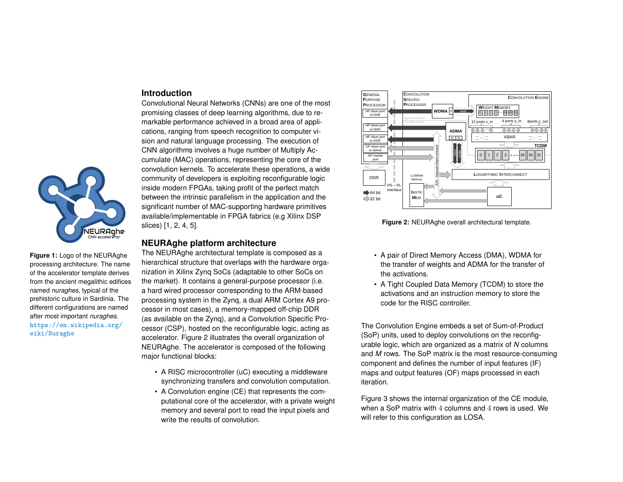# **Introduction**

Convolutional Neural Networks (CNNs) are one of the most promising classes of deep learning algorithms, due to remarkable performance achieved in a broad area of applications, ranging from speech recognition to computer vision and natural language processing. The execution of CNN algorithms involves a huge number of Multiply Accumulate (MAC) operations, representing the core of the convolution kernels. To accelerate these operations, a wide community of developers is exploiting reconfigurable logic inside modern FPGAs, taking profit of the perfect match between the intrinsic parallelism in the application and the significant number of MAC-supporting hardware primitives available/implementable in FPGA fabrics (e.g Xilinx DSP slices) [\[1,](#page-4-1) [2,](#page-4-2) [4,](#page-4-3) [5\]](#page-4-4).

# **NEURAghe platform architecture**

The NEURAghe architectural template is composed as a hierarchical structure that overlaps with the hardware organization in Xilinx Zynq SoCs (adaptable to other SoCs on the market). It contains a general-purpose processor (i.e. a hard wired processor corresponding to the ARM-based processing system in the Zynq, a dual ARM Cortex A9 processor in most cases), a memory-mapped off-chip DDR (as available on the Zynq), and a Convolution Specific Processor (CSP), hosted on the reconfigurable logic, acting as accelerator. Figure [2](#page-1-0) illustrates the overall organization of NEURAghe. The accelerator is composed of the following major functional blocks:

- A RISC microcontroller (uC) executing a middleware synchronizing transfers and convolution computation.
- A Convolution engine (CE) that represents the computational core of the accelerator, with a private weight memory and several port to read the input pixels and write the results of convolution.

<span id="page-1-0"></span>

**Figure 2:** NEURAghe overall architectural template.

- A pair of Direct Memory Access (DMA), WDMA for the transfer of weights and ADMA for the transfer of the activations.
- A Tight Coupled Data Memory (TCDM) to store the activations and an instruction memory to store the code for the RISC controller.

The Convolution Engine embeds a set of Sum-of-Product (SoP) units, used to deploy convolutions on the reconfigurable logic, which are organized as a matrix of *N* columns and *M* rows. The SoP matrix is the most resource-consuming component and defines the number of input features (IF) maps and output features (OF) maps processed in each iteration.

Figure [3](#page-2-0) shows the internal organization of the CE module, when a SoP matrix with 4 columns and 4 rows is used. We will refer to this configuration as LOSA.



**Figure 1:** Logo of the NEURAghe processing architecture. The name of the accelerator template derives from the ancient megalithic edifices named *nuraghes*, typical of the prehistoric culture in Sardinia. The different configurations are named after most important *nuraghes*. [https://en.wikipedia.org/](https://en.wikipedia.org/wiki/Nuraghe) [wiki/Nuraghe](https://en.wikipedia.org/wiki/Nuraghe)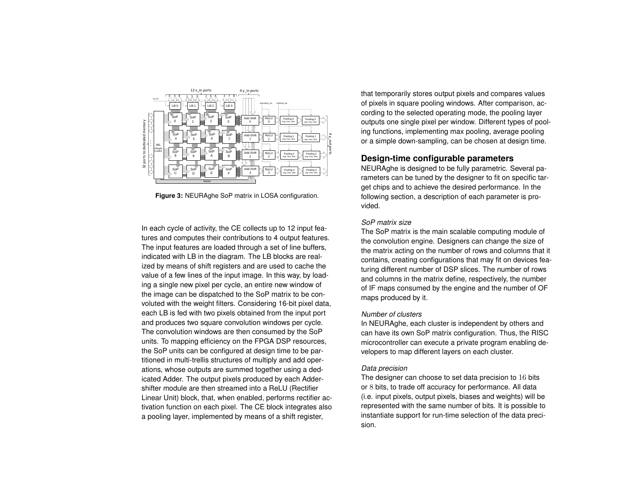<span id="page-2-0"></span>

**Figure 3:** NEURAghe SoP matrix in LOSA configuration.

In each cycle of activity, the CE collects up to 12 input features and computes their contributions to 4 output features. The input features are loaded through a set of line buffers, indicated with LB in the diagram. The LB blocks are realized by means of shift registers and are used to cache the value of a few lines of the input image. In this way, by loading a single new pixel per cycle, an entire new window of the image can be dispatched to the SoP matrix to be convoluted with the weight filters. Considering 16-bit pixel data, each LB is fed with two pixels obtained from the input port and produces two square convolution windows per cycle. The convolution windows are then consumed by the SoP units. To mapping efficiency on the FPGA DSP resources, the SoP units can be configured at design time to be partitioned in multi-trellis structures of multiply and add operations, whose outputs are summed together using a dedicated Adder. The output pixels produced by each Addershifter module are then streamed into a ReLU (Rectifier Linear Unit) block, that, when enabled, performs rectifier activation function on each pixel. The CE block integrates also a pooling layer, implemented by means of a shift register,

that temporarily stores output pixels and compares values of pixels in square pooling windows. After comparison, according to the selected operating mode, the pooling layer outputs one single pixel per window. Different types of pooling functions, implementing max pooling, average pooling or a simple down-sampling, can be chosen at design time.

# **Design-time configurable parameters**

NEURAghe is designed to be fully parametric. Several parameters can be tuned by the designer to fit on specific target chips and to achieve the desired performance. In the following section, a description of each parameter is provided.

#### *SoP matrix size*

The SoP matrix is the main scalable computing module of the convolution engine. Designers can change the size of the matrix acting on the number of rows and columns that it contains, creating configurations that may fit on devices featuring different number of DSP slices. The number of rows and columns in the matrix define, respectively, the number of IF maps consumed by the engine and the number of OF maps produced by it.

## *Number of clusters*

In NEURAghe, each cluster is independent by others and can have its own SoP matrix configuration. Thus, the RISC microcontroller can execute a private program enabling developers to map different layers on each cluster.

#### *Data precision*

The designer can choose to set data precision to 16 bits or 8 bits, to trade off accuracy for performance. All data (i.e. input pixels, output pixels, biases and weights) will be represented with the same number of bits. It is possible to instantiate support for run-time selection of the data precision.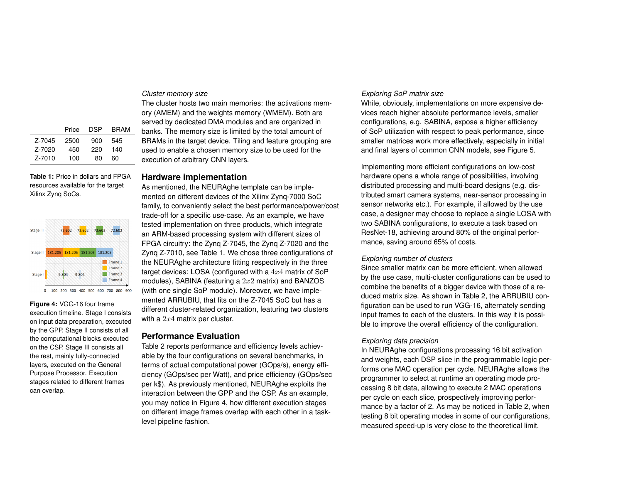## *Cluster memory size*

|        | Price | <b>DSP</b> | <b>BRAM</b> |
|--------|-------|------------|-------------|
| Z-7045 | 2500  | 900        | 545         |
| Z-7020 | 450   | 220        | 140         |
| Z-7010 | 100   | 80         | ഩ           |

<span id="page-3-0"></span>**Table 1:** Price in dollars and FPGA resources available for the target Xilinx Zynq SoCs.



<span id="page-3-1"></span>**Figure 4:** VGG-16 four frame execution timeline. Stage I consists on input data preparation, executed by the GPP. Stage II consists of all the computational blocks executed on the CSP. Stage III consists all the rest, mainly fully-connected layers, executed on the General Purpose Processor. Execution stages related to different frames can overlap.

The cluster hosts two main memories: the activations memory (AMEM) and the weights memory (WMEM). Both are served by dedicated DMA modules and are organized in banks. The memory size is limited by the total amount of BRAMs in the target device. Tiling and feature grouping are used to enable a chosen memory size to be used for the execution of arbitrary CNN layers.

# **Hardware implementation**

As mentioned, the NEURAghe template can be implemented on different devices of the Xilinx Zynq-7000 SoC family, to conveniently select the best performance/power/cost trade-off for a specific use-case. As an example, we have tested implementation on three products, which integrate an ARM-based processing system with different sizes of FPGA circuitry: the Zynq Z-7045, the Zynq Z-7020 and the Zynq Z-7010, see Table [1.](#page-3-0) We chose three configurations of the NEURAghe architecture fitting respectively in the three target devices: LOSA (configured with a  $4x4$  matrix of SoP modules), SABINA (featuring a  $2x2$  matrix) and BANZOS (with one single SoP module). Moreover, we have implemented ARRUBIU, that fits on the Z-7045 SoC but has a different cluster-related organization, featuring two clusters with a  $2x4$  matrix per cluster.

# **Performance Evaluation**

Table [2](#page-4-5) reports performance and efficiency levels achievable by the four configurations on several benchmarks, in terms of actual computational power (GOps/s), energy efficiency (GOps/sec per Watt), and price efficiency (GOps/sec per k\$). As previously mentioned, NEURAghe exploits the interaction between the GPP and the CSP. As an example, you may notice in Figure [4,](#page-3-1) how different execution stages on different image frames overlap with each other in a tasklevel pipeline fashion.

# *Exploring SoP matrix size*

While, obviously, implementations on more expensive devices reach higher absolute performance levels, smaller configurations, e.g. SABINA, expose a higher efficiency of SoP utilization with respect to peak performance, since smaller matrices work more effectively, especially in initial and final layers of common CNN models, see Figure [5.](#page-4-6)

Implementing more efficient configurations on low-cost hardware opens a whole range of possibilities, involving distributed processing and multi-board designs (e.g. distributed smart camera systems, near-sensor processing in sensor networks etc.). For example, if allowed by the use case, a designer may choose to replace a single LOSA with two SABINA configurations, to execute a task based on ResNet-18, achieving around 80% of the original performance, saving around 65% of costs.

# *Exploring number of clusters*

Since smaller matrix can be more efficient, when allowed by the use case, multi-cluster configurations can be used to combine the benefits of a bigger device with those of a reduced matrix size. As shown in Table [2,](#page-4-5) the ARRUBIU configuration can be used to run VGG-16, alternately sending input frames to each of the clusters. In this way it is possible to improve the overall efficiency of the configuration.

# *Exploring data precision*

In NEURAghe configurations processing 16 bit activation and weights, each DSP slice in the programmable logic performs one MAC operation per cycle. NEURAghe allows the programmer to select at runtime an operating mode processing 8 bit data, allowing to execute 2 MAC operations per cycle on each slice, prospectively improving performance by a factor of 2. As may be noticed in Table [2,](#page-4-5) when testing 8 bit operating modes in some of our configurations, measured speed-up is very close to the theoretical limit.